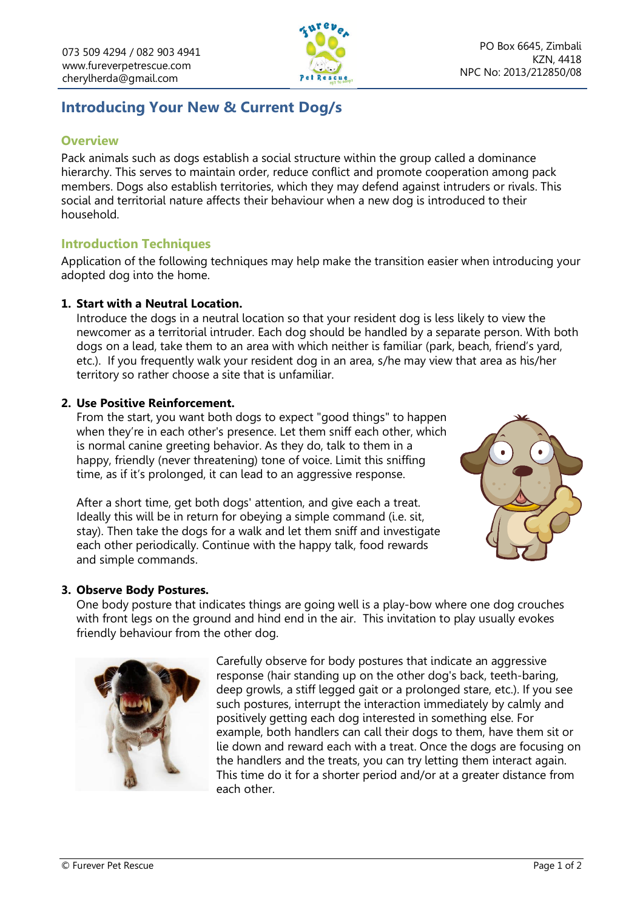

# **Introducing Your New & Current Dog/s**

## **Overview**

Pack animals such as dogs establish a social structure within the group called a dominance hierarchy. This serves to maintain order, reduce conflict and promote cooperation among pack members. Dogs also establish territories, which they may defend against intruders or rivals. This social and territorial nature affects their behaviour when a new dog is introduced to their household.

# **Introduction Techniques**

Application of the following techniques may help make the transition easier when introducing your adopted dog into the home.

## **1. Start with a Neutral Location.**

Introduce the dogs in a neutral location so that your resident dog is less likely to view the newcomer as a territorial intruder. Each dog should be handled by a separate person. With both dogs on a lead, take them to an area with which neither is familiar (park, beach, friend's yard, etc.). If you frequently walk your resident dog in an area, s/he may view that area as his/her territory so rather choose a site that is unfamiliar.

#### **2. Use Positive Reinforcement.**

From the start, you want both dogs to expect "good things" to happen when they're in each other's presence. Let them sniff each other, which is normal canine greeting behavior. As they do, talk to them in a happy, friendly (never threatening) tone of voice. Limit this sniffing time, as if it's prolonged, it can lead to an aggressive response.

After a short time, get both dogs' attention, and give each a treat. Ideally this will be in return for obeying a simple command (i.e. sit, stay). Then take the dogs for a walk and let them sniff and investigate each other periodically. Continue with the happy talk, food rewards and simple commands.



## **3. Observe Body Postures.**

One body posture that indicates things are going well is a play-bow where one dog crouches with front legs on the ground and hind end in the air. This invitation to play usually evokes friendly behaviour from the other dog.



Carefully observe for body postures that indicate an aggressive response (hair standing up on the other dog's back, teeth-baring, deep growls, a stiff legged gait or a prolonged stare, etc.). If you see such postures, interrupt the interaction immediately by calmly and positively getting each dog interested in something else. For example, both handlers can call their dogs to them, have them sit or lie down and reward each with a treat. Once the dogs are focusing on the handlers and the treats, you can try letting them interact again. This time do it for a shorter period and/or at a greater distance from each other.